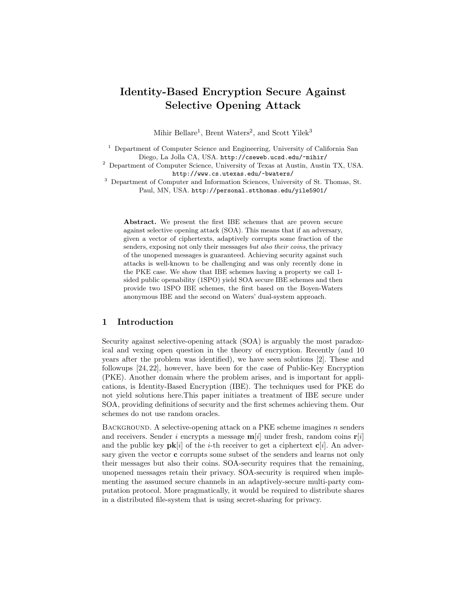# Identity-Based Encryption Secure Against Selective Opening Attack

Mihir Bellare<sup>1</sup>, Brent Waters<sup>2</sup>, and Scott Yilek<sup>3</sup>

 $^{\rm 1}$  Department of Computer Science and Engineering, University of California San Diego, La Jolla CA, USA. http://cseweb.ucsd.edu/~mihir/

<sup>2</sup> Department of Computer Science, University of Texas at Austin, Austin TX, USA. http://www.cs.utexas.edu/~bwaters/

<sup>3</sup> Department of Computer and Information Sciences, University of St. Thomas, St. Paul, MN, USA. http://personal.stthomas.edu/yile5901/

Abstract. We present the first IBE schemes that are proven secure against selective opening attack (SOA). This means that if an adversary, given a vector of ciphertexts, adaptively corrupts some fraction of the senders, exposing not only their messages but also their coins, the privacy of the unopened messages is guaranteed. Achieving security against such attacks is well-known to be challenging and was only recently done in the PKE case. We show that IBE schemes having a property we call 1 sided public openability (1SPO) yield SOA secure IBE schemes and then provide two 1SPO IBE schemes, the first based on the Boyen-Waters anonymous IBE and the second on Waters' dual-system approach.

#### 1 Introduction

Security against selective-opening attack (SOA) is arguably the most paradoxical and vexing open question in the theory of encryption. Recently (and 10 years after the problem was identified), we have seen solutions [2]. These and followups [24, 22], however, have been for the case of Public-Key Encryption (PKE). Another domain where the problem arises, and is important for applications, is Identity-Based Encryption (IBE). The techniques used for PKE do not yield solutions here.This paper initiates a treatment of IBE secure under SOA, providing definitions of security and the first schemes achieving them. Our schemes do not use random oracles.

BACKGROUND. A selective-opening attack on a PKE scheme imagines n senders and receivers. Sender i encrypts a message  $m[i]$  under fresh, random coins  $r[i]$ and the public key  $\mathbf{pk}[i]$  of the *i*-th receiver to get a ciphertext  $\mathbf{c}[i]$ . An adversary given the vector **c** corrupts some subset of the senders and learns not only their messages but also their coins. SOA-security requires that the remaining, unopened messages retain their privacy. SOA-security is required when implementing the assumed secure channels in an adaptively-secure multi-party computation protocol. More pragmatically, it would be required to distribute shares in a distributed file-system that is using secret-sharing for privacy.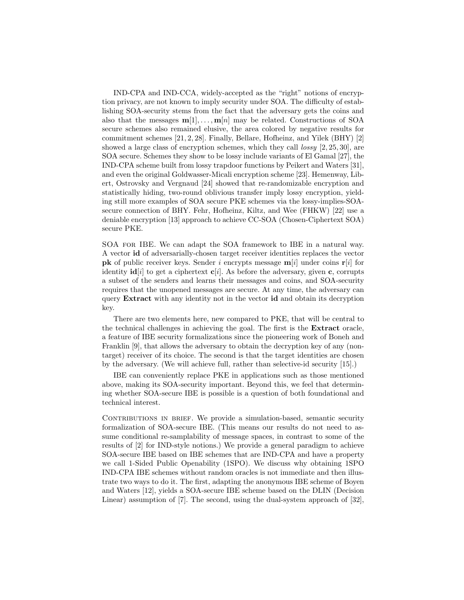IND-CPA and IND-CCA, widely-accepted as the "right" notions of encryption privacy, are not known to imply security under SOA. The difficulty of establishing SOA-security stems from the fact that the adversary gets the coins and also that the messages  $m[1], \ldots, m[n]$  may be related. Constructions of SOA secure schemes also remained elusive, the area colored by negative results for commitment schemes [21, 2, 28]. Finally, Bellare, Hofheinz, and Yilek (BHY) [2] showed a large class of encryption schemes, which they call *lossy* [2, 25, 30], are SOA secure. Schemes they show to be lossy include variants of El Gamal [27], the IND-CPA scheme built from lossy trapdoor functions by Peikert and Waters [31], and even the original Goldwasser-Micali encryption scheme [23]. Hemenway, Libert, Ostrovsky and Vergnaud [24] showed that re-randomizable encryption and statistically hiding, two-round oblivious transfer imply lossy encryption, yielding still more examples of SOA secure PKE schemes via the lossy-implies-SOAsecure connection of BHY. Fehr, Hofheinz, Kiltz, and Wee (FHKW) [22] use a deniable encryption [13] approach to achieve CC-SOA (Chosen-Ciphertext SOA) secure PKE.

SOA for IBE. We can adapt the SOA framework to IBE in a natural way. A vector id of adversarially-chosen target receiver identities replaces the vector **pk** of public receiver keys. Sender i encrypts message  $m[i]$  under coins r[i] for identity  $\mathbf{id}[i]$  to get a ciphertext  $\mathbf{c}[i]$ . As before the adversary, given c, corrupts a subset of the senders and learns their messages and coins, and SOA-security requires that the unopened messages are secure. At any time, the adversary can query Extract with any identity not in the vector id and obtain its decryption key.

There are two elements here, new compared to PKE, that will be central to the technical challenges in achieving the goal. The first is the Extract oracle, a feature of IBE security formalizations since the pioneering work of Boneh and Franklin [9], that allows the adversary to obtain the decryption key of any (nontarget) receiver of its choice. The second is that the target identities are chosen by the adversary. (We will achieve full, rather than selective-id security [15].)

IBE can conveniently replace PKE in applications such as those mentioned above, making its SOA-security important. Beyond this, we feel that determining whether SOA-secure IBE is possible is a question of both foundational and technical interest.

CONTRIBUTIONS IN BRIEF. We provide a simulation-based, semantic security formalization of SOA-secure IBE. (This means our results do not need to assume conditional re-samplability of message spaces, in contrast to some of the results of [2] for IND-style notions.) We provide a general paradigm to achieve SOA-secure IBE based on IBE schemes that are IND-CPA and have a property we call 1-Sided Public Openability (1SPO). We discuss why obtaining 1SPO IND-CPA IBE schemes without random oracles is not immediate and then illustrate two ways to do it. The first, adapting the anonymous IBE scheme of Boyen and Waters [12], yields a SOA-secure IBE scheme based on the DLIN (Decision Linear) assumption of [7]. The second, using the dual-system approach of [32],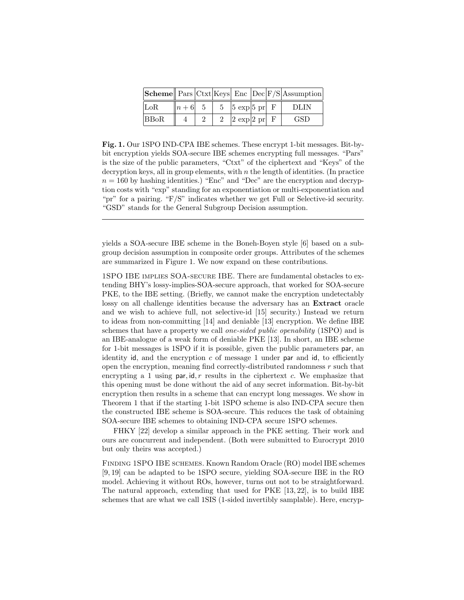|             |                                    |  |                            |  | $ \textbf{Scheme}  $ Pars $ $ Ctxt $ $ Keys $ $ Enc $ $ Dec $ $ F/S $ $ Assumption |
|-------------|------------------------------------|--|----------------------------|--|------------------------------------------------------------------------------------|
| LoR         | $\ n+6\ $ 5   5   5 exp   5 pr   F |  |                            |  | DLIN                                                                               |
| <b>BBoR</b> |                                    |  | 2 $ 2 \exp 2 \text{ pr} F$ |  | <b>GSD</b>                                                                         |

Fig. 1. Our 1SPO IND-CPA IBE schemes. These encrypt 1-bit messages. Bit-bybit encryption yields SOA-secure IBE schemes encrypting full messages. "Pars" is the size of the public parameters, "Ctxt" of the ciphertext and "Keys" of the decryption keys, all in group elements, with n the length of identities. (In practice  $n = 160$  by hashing identities.) "Enc" and "Dec" are the encryption and decryption costs with "exp" standing for an exponentiation or multi-exponentiation and "pr" for a pairing. "F/S" indicates whether we get Full or Selective-id security. "GSD" stands for the General Subgroup Decision assumption.

yields a SOA-secure IBE scheme in the Boneh-Boyen style [6] based on a subgroup decision assumption in composite order groups. Attributes of the schemes are summarized in Figure 1. We now expand on these contributions.

1SPO IBE implies SOA-secure IBE. There are fundamental obstacles to extending BHY's lossy-implies-SOA-secure approach, that worked for SOA-secure PKE, to the IBE setting. (Briefly, we cannot make the encryption undetectably lossy on all challenge identities because the adversary has an Extract oracle and we wish to achieve full, not selective-id [15] security.) Instead we return to ideas from non-committing [14] and deniable [13] encryption. We define IBE schemes that have a property we call *one-sided public openability* (1SPO) and is an IBE-analogue of a weak form of deniable PKE [13]. In short, an IBE scheme for 1-bit messages is 1SPO if it is possible, given the public parameters par, an identity id, and the encryption  $c$  of message 1 under par and id, to efficiently open the encryption, meaning find correctly-distributed randomness  $r$  such that encrypting a 1 using  $\text{par}, \text{id}, r$  results in the ciphertext c. We emphasize that this opening must be done without the aid of any secret information. Bit-by-bit encryption then results in a scheme that can encrypt long messages. We show in Theorem 1 that if the starting 1-bit 1SPO scheme is also IND-CPA secure then the constructed IBE scheme is SOA-secure. This reduces the task of obtaining SOA-secure IBE schemes to obtaining IND-CPA secure 1SPO schemes.

FHKY [22] develop a similar approach in the PKE setting. Their work and ours are concurrent and independent. (Both were submitted to Eurocrypt 2010 but only theirs was accepted.)

Finding 1SPO IBE schemes. Known Random Oracle (RO) model IBE schemes [9, 19] can be adapted to be 1SPO secure, yielding SOA-secure IBE in the RO model. Achieving it without ROs, however, turns out not to be straightforward. The natural approach, extending that used for PKE [13, 22], is to build IBE schemes that are what we call 1SIS (1-sided invertibly samplable). Here, encryp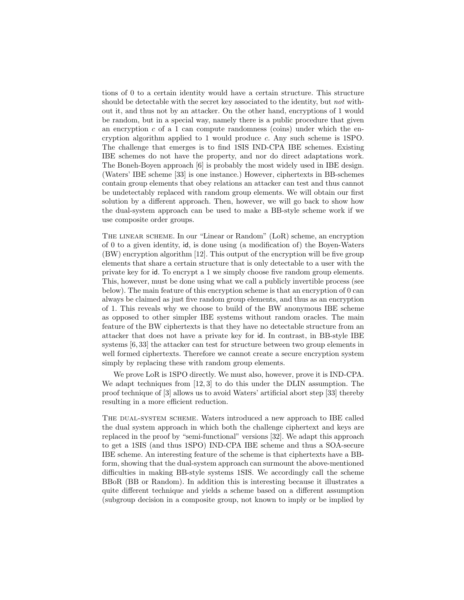tions of 0 to a certain identity would have a certain structure. This structure should be detectable with the secret key associated to the identity, but not without it, and thus not by an attacker. On the other hand, encryptions of 1 would be random, but in a special way, namely there is a public procedure that given an encryption  $c$  of a 1 can compute randomness (coins) under which the encryption algorithm applied to 1 would produce c. Any such scheme is 1SPO. The challenge that emerges is to find 1SIS IND-CPA IBE schemes. Existing IBE schemes do not have the property, and nor do direct adaptations work. The Boneh-Boyen approach [6] is probably the most widely used in IBE design. (Waters' IBE scheme [33] is one instance.) However, ciphertexts in BB-schemes contain group elements that obey relations an attacker can test and thus cannot be undetectably replaced with random group elements. We will obtain our first solution by a different approach. Then, however, we will go back to show how the dual-system approach can be used to make a BB-style scheme work if we use composite order groups.

The linear scheme. In our "Linear or Random" (LoR) scheme, an encryption of 0 to a given identity, id, is done using (a modification of) the Boyen-Waters (BW) encryption algorithm [12]. This output of the encryption will be five group elements that share a certain structure that is only detectable to a user with the private key for id. To encrypt a 1 we simply choose five random group elements. This, however, must be done using what we call a publicly invertible process (see below). The main feature of this encryption scheme is that an encryption of 0 can always be claimed as just five random group elements, and thus as an encryption of 1. This reveals why we choose to build of the BW anonymous IBE scheme as opposed to other simpler IBE systems without random oracles. The main feature of the BW ciphertexts is that they have no detectable structure from an attacker that does not have a private key for id. In contrast, in BB-style IBE systems [6, 33] the attacker can test for structure between two group elements in well formed ciphertexts. Therefore we cannot create a secure encryption system simply by replacing these with random group elements.

We prove LoR is 1SPO directly. We must also, however, prove it is IND-CPA. We adapt techniques from [12, 3] to do this under the DLIN assumption. The proof technique of [3] allows us to avoid Waters' artificial abort step [33] thereby resulting in a more efficient reduction.

The dual-system scheme. Waters introduced a new approach to IBE called the dual system approach in which both the challenge ciphertext and keys are replaced in the proof by "semi-functional" versions [32]. We adapt this approach to get a 1SIS (and thus 1SPO) IND-CPA IBE scheme and thus a SOA-secure IBE scheme. An interesting feature of the scheme is that ciphertexts have a BBform, showing that the dual-system approach can surmount the above-mentioned difficulties in making BB-style systems 1SIS. We accordingly call the scheme BBoR (BB or Random). In addition this is interesting because it illustrates a quite different technique and yields a scheme based on a different assumption (subgroup decision in a composite group, not known to imply or be implied by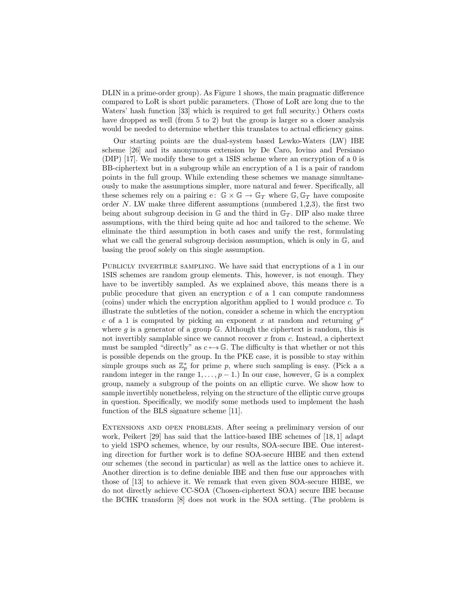DLIN in a prime-order group). As Figure 1 shows, the main pragmatic difference compared to LoR is short public parameters. (Those of LoR are long due to the Waters' hash function [33] which is required to get full security.) Others costs have dropped as well (from 5 to 2) but the group is larger so a closer analysis would be needed to determine whether this translates to actual efficiency gains.

Our starting points are the dual-system based Lewko-Waters (LW) IBE scheme [26] and its anonymous extension by De Caro, Iovino and Persiano (DIP) [17]. We modify these to get a 1SIS scheme where an encryption of a 0 is BB-ciphertext but in a subgroup while an encryption of a 1 is a pair of random points in the full group. While extending these schemes we manage simultaneously to make the assumptions simpler, more natural and fewer. Specifically, all these schemes rely on a pairing e:  $\mathbb{G} \times \mathbb{G} \to \mathbb{G}_T$  where  $\mathbb{G}, \mathbb{G}_T$  have composite order  $N$ . LW make three different assumptions (numbered 1,2,3), the first two being about subgroup decision in G and the third in  $\mathbb{G}_T$ . DIP also make three assumptions, with the third being quite ad hoc and tailored to the scheme. We eliminate the third assumption in both cases and unify the rest, formulating what we call the general subgroup decision assumption, which is only in  $\mathbb{G}$ , and basing the proof solely on this single assumption.

Publicly invertible sampling. We have said that encryptions of a 1 in our 1SIS schemes are random group elements. This, however, is not enough. They have to be invertibly sampled. As we explained above, this means there is a public procedure that given an encryption  $c$  of a 1 can compute randomness (coins) under which the encryption algorithm applied to 1 would produce c. To illustrate the subtleties of the notion, consider a scheme in which the encryption c of a 1 is computed by picking an exponent x at random and returning  $g^x$ where g is a generator of a group  $\mathbb{G}$ . Although the ciphertext is random, this is not invertibly samplable since we cannot recover  $x$  from  $c$ . Instead, a ciphertext must be sampled "directly" as  $c \leftarrow \mathcal{G}$ . The difficulty is that whether or not this is possible depends on the group. In the PKE case, it is possible to stay within simple groups such as  $\mathbb{Z}_p^*$  for prime p, where such sampling is easy. (Pick a a random integer in the range  $1, \ldots, p-1$ .) In our case, however,  $\mathbb{G}$  is a complex group, namely a subgroup of the points on an elliptic curve. We show how to sample invertibly nonetheless, relying on the structure of the elliptic curve groups in question. Specifically, we modify some methods used to implement the hash function of the BLS signature scheme [11].

Extensions and open problems. After seeing a preliminary version of our work, Peikert [29] has said that the lattice-based IBE schemes of [18, 1] adapt to yield 1SPO schemes, whence, by our results, SOA-secure IBE. One interesting direction for further work is to define SOA-secure HIBE and then extend our schemes (the second in particular) as well as the lattice ones to achieve it. Another direction is to define deniable IBE and then fuse our approaches with those of [13] to achieve it. We remark that even given SOA-secure HIBE, we do not directly achieve CC-SOA (Chosen-ciphertext SOA) secure IBE because the BCHK transform [8] does not work in the SOA setting. (The problem is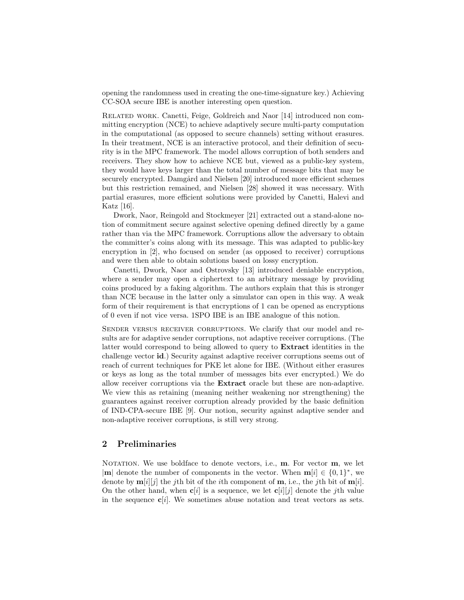opening the randomness used in creating the one-time-signature key.) Achieving CC-SOA secure IBE is another interesting open question.

Related work. Canetti, Feige, Goldreich and Naor [14] introduced non committing encryption (NCE) to achieve adaptively secure multi-party computation in the computational (as opposed to secure channels) setting without erasures. In their treatment, NCE is an interactive protocol, and their definition of security is in the MPC framework. The model allows corruption of both senders and receivers. They show how to achieve NCE but, viewed as a public-key system, they would have keys larger than the total number of message bits that may be securely encrypted. Damgård and Nielsen [20] introduced more efficient schemes but this restriction remained, and Nielsen [28] showed it was necessary. With partial erasures, more efficient solutions were provided by Canetti, Halevi and Katz [16].

Dwork, Naor, Reingold and Stockmeyer [21] extracted out a stand-alone notion of commitment secure against selective opening defined directly by a game rather than via the MPC framework. Corruptions allow the adversary to obtain the committer's coins along with its message. This was adapted to public-key encryption in [2], who focused on sender (as opposed to receiver) corruptions and were then able to obtain solutions based on lossy encryption.

Canetti, Dwork, Naor and Ostrovsky [13] introduced deniable encryption, where a sender may open a ciphertext to an arbitrary message by providing coins produced by a faking algorithm. The authors explain that this is stronger than NCE because in the latter only a simulator can open in this way. A weak form of their requirement is that encryptions of 1 can be opened as encryptions of 0 even if not vice versa. 1SPO IBE is an IBE analogue of this notion.

SENDER VERSUS RECEIVER CORRUPTIONS. We clarify that our model and results are for adaptive sender corruptions, not adaptive receiver corruptions. (The latter would correspond to being allowed to query to Extract identities in the challenge vector id.) Security against adaptive receiver corruptions seems out of reach of current techniques for PKE let alone for IBE. (Without either erasures or keys as long as the total number of messages bits ever encrypted.) We do allow receiver corruptions via the Extract oracle but these are non-adaptive. We view this as retaining (meaning neither weakening nor strengthening) the guarantees against receiver corruption already provided by the basic definition of IND-CPA-secure IBE [9]. Our notion, security against adaptive sender and non-adaptive receiver corruptions, is still very strong.

#### 2 Preliminaries

NOTATION. We use boldface to denote vectors, i.e., **. For vector**  $**m**$ **, we let** |m| denote the number of components in the vector. When  $m[i] \in \{0,1\}^*$ , we denote by  $\mathbf{m}[i][j]$  the *j*th bit of the *i*th component of **m**, i.e., the *j*th bit of  $\mathbf{m}[i]$ . On the other hand, when  $c[i]$  is a sequence, we let  $c[i][j]$  denote the jth value in the sequence  $\mathbf{c}[i]$ . We sometimes abuse notation and treat vectors as sets.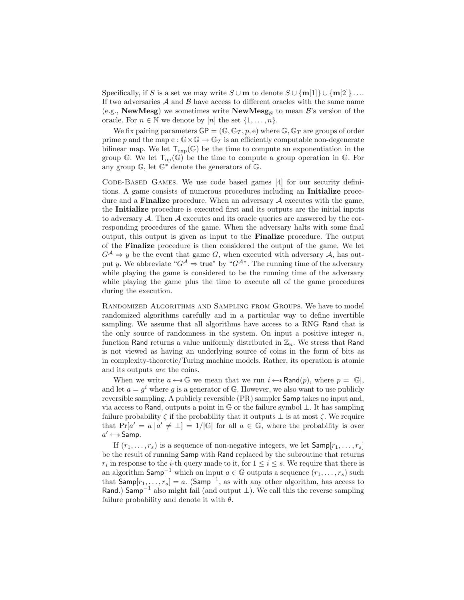Specifically, if S is a set we may write  $S \cup \mathbf{m}$  to denote  $S \cup \{\mathbf{m}[1]\} \cup \{\mathbf{m}[2]\} \ldots$ If two adversaries  $A$  and  $B$  have access to different oracles with the same name (e.g., NewMesg) we sometimes write  $\text{NewMessage}_B$  to mean  $\mathcal{B}'$ 's version of the oracle. For  $n \in \mathbb{N}$  we denote by [n] the set  $\{1, \ldots, n\}$ .

We fix pairing parameters  $\mathsf{GP} = (\mathbb{G}, \mathbb{G}_T, p, e)$  where  $\mathbb{G}, \mathbb{G}_T$  are groups of order prime p and the map  $e : \mathbb{G} \times \mathbb{G} \to \mathbb{G}$  is an efficiently computable non-degenerate bilinear map. We let  $T_{\text{exp}}(\mathbb{G})$  be the time to compute an exponentiation in the group  $\mathbb{G}$ . We let  $\mathsf{T}_{op}(\mathbb{G})$  be the time to compute a group operation in  $\mathbb{G}$ . For any group  $\mathbb{G}$ , let  $\mathbb{G}^*$  denote the generators of  $\mathbb{G}$ .

Code-Based Games. We use code based games [4] for our security definitions. A game consists of numerous procedures including an Initialize procedure and a **Finalize** procedure. When an adversary  $A$  executes with the game, the Initialize procedure is executed first and its outputs are the initial inputs to adversary  $A$ . Then  $A$  executes and its oracle queries are answered by the corresponding procedures of the game. When the adversary halts with some final output, this output is given as input to the Finalize procedure. The output of the Finalize procedure is then considered the output of the game. We let  $G^{\mathcal{A}} \Rightarrow y$  be the event that game G, when executed with adversary A, has output y. We abbreviate " $G^{\mathcal{A}} \Rightarrow$  true" by " $G^{\mathcal{A}}$ ". The running time of the adversary while playing the game is considered to be the running time of the adversary while playing the game plus the time to execute all of the game procedures during the execution.

Randomized Algorithms and Sampling from Groups. We have to model randomized algorithms carefully and in a particular way to define invertible sampling. We assume that all algorithms have access to a RNG Rand that is the only source of randomness in the system. On input a positive integer  $n$ , function Rand returns a value uniformly distributed in  $\mathbb{Z}_n$ . We stress that Rand is not viewed as having an underlying source of coins in the form of bits as in complexity-theoretic/Turing machine models. Rather, its operation is atomic and its outputs are the coins.

When we write  $a \leftarrow \mathcal{S}$  we mean that we run  $i \leftarrow \mathcal{S}$  Rand $(p)$ , where  $p = |\mathbb{G}|$ , and let  $a = g^i$  where g is a generator of G. However, we also want to use publicly reversible sampling. A publicly reversible (PR) sampler Samp takes no input and, via access to Rand, outputs a point in G or the failure symbol ⊥. It has sampling failure probability  $\zeta$  if the probability that it outputs  $\bot$  is at most  $\zeta$ . We require that  $Pr[a' = a | a' \neq \perp] = 1/|\mathbb{G}|$  for all  $a \in \mathbb{G}$ , where the probability is over  $a' \leftarrow s$  Samp.

If  $(r_1, \ldots, r_s)$  is a sequence of non-negative integers, we let  $\mathsf{Samp}[r_1, \ldots, r_s]$ be the result of running Samp with Rand replaced by the subroutine that returns  $r_i$  in response to the *i*-th query made to it, for  $1 \leq i \leq s$ . We require that there is an algorithm  $\textsf{Samp}^{-1}$  which on input  $a \in \mathbb{G}$  outputs a sequence  $(r_1, \ldots, r_s)$  such that  $\mathsf{Samp}[r_1,\ldots,r_s] = a$ . ( $\mathsf{Samp}^{-1}$ , as with any other algorithm, has access to Rand.) Samp<sup>-1</sup> also might fail (and output  $\perp$ ). We call this the reverse sampling failure probability and denote it with  $\theta$ .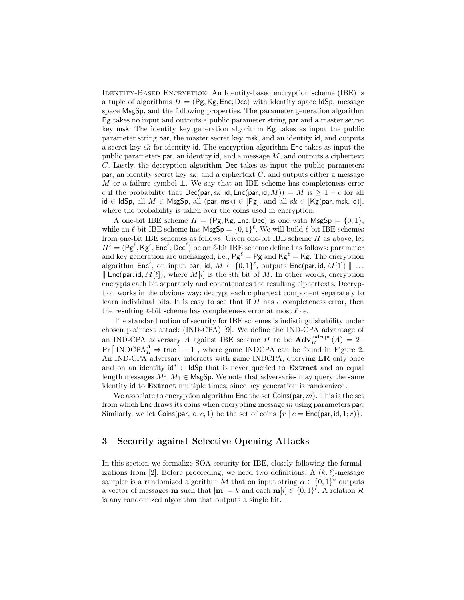Identity-Based Encryption. An Identity-based encryption scheme (IBE) is a tuple of algorithms  $\Pi = (Pg, Kg, Enc, Dec)$  with identity space IdSp, message space MsgSp, and the following properties. The parameter generation algorithm Pg takes no input and outputs a public parameter string par and a master secret key msk. The identity key generation algorithm Kg takes as input the public parameter string par, the master secret key msk, and an identity id, and outputs a secret key sk for identity id. The encryption algorithm Enc takes as input the public parameters par, an identity id, and a message  $M$ , and outputs a ciphertext C. Lastly, the decryption algorithm Dec takes as input the public parameters  $\mathsf{par},$  an identity secret key sk, and a ciphertext C, and outputs either a message M or a failure symbol  $\perp$ . We say that an IBE scheme has completeness error  $\epsilon$  if the probability that Dec(par, sk, id, Enc(par, id, M)) = M is > 1 –  $\epsilon$  for all id ∈ IdSp, all  $M \in \text{MsgSp},$  all (par, msk) ∈ [Pg], and all  $sk \in [Kg(par, msk, id)]$ , where the probability is taken over the coins used in encryption.

A one-bit IBE scheme  $\Pi = (Pg, Kg, Enc, Dec)$  is one with  $MsgSp = \{0, 1\},$ while an  $\ell$ -bit IBE scheme has  $\mathsf{MsgSp} = \{0,1\}^{\ell}$ . We will build  $\ell$ -bit IBE schemes from one-bit IBE schemes as follows. Given one-bit IBE scheme  $\Pi$  as above, let  $\Pi^{\ell} = (Pg^{\ell}, Kg^{\ell}, Enc^{\ell}, Dec^{\ell})$  be an  $\ell$ -bit IBE scheme defined as follows: parameter and key generation are unchanged, i.e.,  $Pg^{\ell} = Pg$  and  $Kg^{\ell} = Kg$ . The encryption algorithm  $\mathsf{Enc}^{\ell}$ , on input par, id,  $M \in \{0,1\}^{\ell}$ , outputs  $\mathsf{Enc}(\mathsf{par}, \mathsf{id}, M[1]) \parallel \ldots$  $\parallel$  Enc(par, id,  $M[\ell]$ ), where  $M[i]$  is the *i*th bit of M. In other words, encryption encrypts each bit separately and concatenates the resulting ciphertexts. Decryption works in the obvious way: decrypt each ciphertext component separately to learn individual bits. It is easy to see that if  $\Pi$  has  $\epsilon$  completeness error, then the resulting  $\ell$ -bit scheme has completeness error at most  $\ell \cdot \epsilon$ .

The standard notion of security for IBE schemes is indistinguishability under chosen plaintext attack (IND-CPA) [9]. We define the IND-CPA advantage of an IND-CPA adversary A against IBE scheme  $\Pi$  to be  $\mathbf{Adv}_{\Pi}^{\text{ind-cpa}}(A) = 2$ .  $Pr\left[\text{INDCPA}_{II}^{A} \Rightarrow \text{true}\right] - 1$ , where game INDCPA can be found in Figure 2. An IND-CPA adversary interacts with game INDCPA, querying LR only once and on an identity id<sup>\*</sup> ∈ IdSp that is never queried to **Extract** and on equal length messages  $M_0, M_1 \in \mathsf{MsgSp}$ . We note that adversaries may query the same identity id to Extract multiple times, since key generation is randomized.

We associate to encryption algorithm  $\mathsf{Enc}$  the set  $\mathsf{Coins}(\mathsf{par}, m)$ . This is the set from which  $Enc$  draws its coins when encrypting message m using parameters par. Similarly, we let Coins(par, id, c, 1) be the set of coins  $\{r \mid c = \text{Enc}(\text{par}, \text{id}, 1; r)\}.$ 

### 3 Security against Selective Opening Attacks

In this section we formalize SOA security for IBE, closely following the formalizations from [2]. Before proceeding, we need two definitions. A  $(k, \ell)$ -message sampler is a randomized algorithm M that on input string  $\alpha \in \{0,1\}^*$  outputs a vector of messages **m** such that  $|\mathbf{m}| = k$  and each  $\mathbf{m}[i] \in \{0,1\}^{\ell}$ . A relation R is any randomized algorithm that outputs a single bit.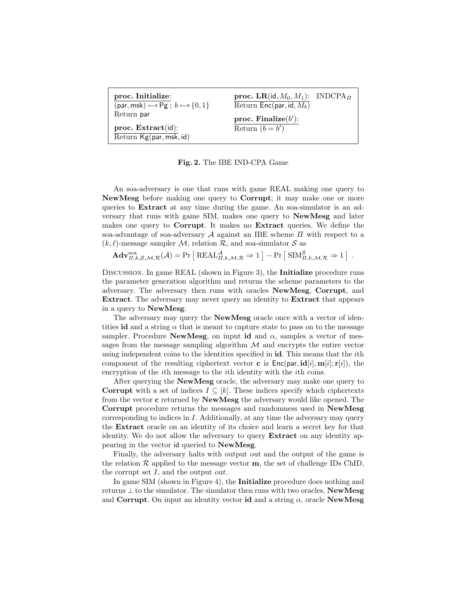| proc. Initialize:<br>$(\textsf{par}, \textsf{msk}) \leftarrow \{ \textsf{pg} \; ; \; b \leftarrow \{ 0,1 \} \}$ | <b>proc.</b> LR(id, $M_0, M_1$ ): INDCPA $_{\Pi}$<br>Return Enc(par, id, $M_b$ ) |  |
|-----------------------------------------------------------------------------------------------------------------|----------------------------------------------------------------------------------|--|
| Return par                                                                                                      | proc. Finalize $(b')$ :                                                          |  |
| proc. Extract(id):<br>Return Kg (par, msk, id)                                                                  | Return $(b = b')$                                                                |  |

Fig. 2. The IBE IND-CPA Game

An soa-adversary is one that runs with game REAL making one query to NewMesg before making one query to Corrupt; it may make one or more queries to Extract at any time during the game. An soa-simulator is an adversary that runs with game SIM, makes one query to NewMesg and later makes one query to Corrupt. It makes no Extract queries. We define the soa-advantage of soa-adversary  $A$  against an IBE scheme  $\Pi$  with respect to a  $(k, l)$ -message sampler M, relation R, and soa-simulator S as

 $\mathbf{Adv}_{\Pi,k,\mathcal{S},\mathcal{M},\mathcal{R}}^{\text{soa}}(\mathcal{A}) = \Pr \left[ \text{ REAL}_{\Pi,k,\mathcal{M},\mathcal{R}}^{\mathcal{A}} \Rightarrow 1 \right] - \Pr \left[ \text{SIM}_{\Pi,k,\mathcal{M},\mathcal{R}}^{\mathcal{S}} \Rightarrow 1 \right] .$ 

Discussion. In game REAL (shown in Figure 3), the Initialize procedure runs the parameter generation algorithm and returns the scheme parameters to the adversary. The adversary then runs with oracles NewMesg, Corrupt, and Extract. The adversary may never query an identity to Extract that appears in a query to NewMesg.

The adversary may query the **NewMesg** oracle once with a vector of identities id and a string  $\alpha$  that is meant to capture state to pass on to the message sampler. Procedure **NewMesg**, on input id and  $\alpha$ , samples a vector of messages from the message sampling algorithm  $\mathcal M$  and encrypts the entire vector using independent coins to the identities specified in **id**. This means that the *i*th component of the resulting ciphertext vector **c** is  $Enc(px, id[i], m[i]; r[i])$ , the encryption of the *i*th message to the *i*th identity with the *i*th coins.

After querying the **NewMesg** oracle, the adversary may make one query to **Corrupt** with a set of indices  $I \subseteq [k]$ . These indices specify which ciphertexts from the vector c returned by NewMesg the adversary would like opened. The Corrupt procedure returns the messages and randomness used in NewMesg corresponding to indices in  $I$ . Additionally, at any time the adversary may query the Extract oracle on an identity of its choice and learn a secret key for that identity. We do not allow the adversary to query Extract on any identity appearing in the vector id queried to NewMesg.

Finally, the adversary halts with output out and the output of the game is the relation  $\mathcal R$  applied to the message vector  $\mathbf m$ , the set of challenge IDs ChID, the corrupt set  $I$ , and the output out.

In game SIM (shown in Figure 4), the Initialize procedure does nothing and returns ⊥ to the simulator. The simulator then runs with two oracles, NewMesg and Corrupt. On input an identity vector id and a string  $\alpha$ , oracle NewMesg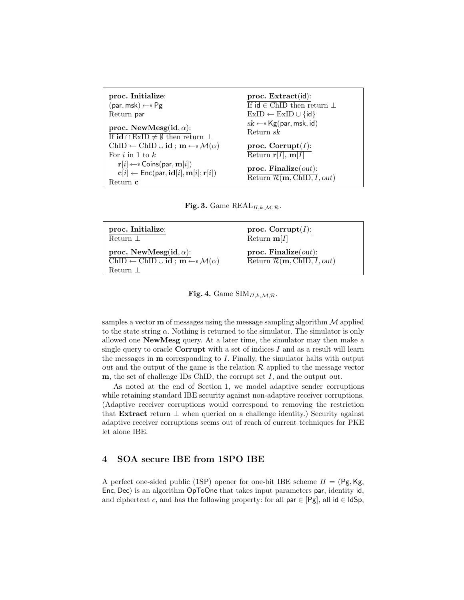| proc. Initialize:<br>$(\text{par}, \text{msk}) \leftarrow s \text{Pg}$<br>Return par                                                                                              | proc. Extract(id):<br>If $id \in ChID$ then return $\perp$<br>$ExID \leftarrow ExID \cup \{id\}$ |
|-----------------------------------------------------------------------------------------------------------------------------------------------------------------------------------|--------------------------------------------------------------------------------------------------|
| proc. NewMesg(id, $\alpha$ ):<br>If $\mathbf{id} \cap \mathrm{ExID} \neq \emptyset$ then return $\perp$                                                                           | $sk \leftarrow$ Kg(par, msk, id)<br>Return sk                                                    |
| ChID $\leftarrow$ ChID $\cup$ <b>id</b> ; $\mathbf{m} \leftarrow \infty \mathcal{M}(\alpha)$                                                                                      | proc. Corrupt $(I)$ :                                                                            |
| For $i$ in 1 to $k$                                                                                                                                                               | Return $\mathbf{r}[I], \, \mathbf{m}[I]$                                                         |
| $\mathbf{r}[i] \leftarrow \infty$ Coins(par, $\mathbf{m}[i]$ )<br>$\mathbf{c}[i] \leftarrow \mathsf{Enc}(\mathsf{par}, \mathbf{id}[i], \mathbf{m}[i]; \mathbf{r}[i])$<br>Return c | proc. Finalize $(out)$ :<br>Return $\mathcal{R}(\mathbf{m},\text{ChID},\bar{I},\text{out})$      |

Fig. 3. Game  $REAL_{\Pi,k,\mathcal{M},\mathcal{R}}$ .

| proc. Initialize:                                                                                                                                        | proc. Corrupt $(I)$ :                                                          |
|----------------------------------------------------------------------------------------------------------------------------------------------------------|--------------------------------------------------------------------------------|
| Return $\perp$                                                                                                                                           | Return $m[I]$                                                                  |
| proc. NewMesg(id, $\alpha$ ):<br>$\overline{\text{ChID} \leftarrow \text{ChID} \cup id ; \mathbf{m} \leftarrow^* \mathcal{M}(\alpha)}$<br>Return $\perp$ | proc. Finalize $(out)$ :<br>Return $\mathcal{R}(\mathbf{m},\text{ChID},I,out)$ |

Fig. 4. Game  $\text{SIM}_{\Pi,k,\mathcal{M},\mathcal{R}}$ .

samples a vector  $\mathbf m$  of messages using the message sampling algorithm  $\mathcal M$  applied to the state string  $\alpha$ . Nothing is returned to the simulator. The simulator is only allowed one NewMesg query. At a later time, the simulator may then make a single query to oracle **Corrupt** with a set of indices  $I$  and as a result will learn the messages in  **corresponding to**  $I$ **. Finally, the simulator halts with output** out and the output of the game is the relation  $\mathcal R$  applied to the message vector **, the set of challenge IDs ChID, the corrupt set**  $I$ **, and the output out.** 

As noted at the end of Section 1, we model adaptive sender corruptions while retaining standard IBE security against non-adaptive receiver corruptions. (Adaptive receiver corruptions would correspond to removing the restriction that Extract return  $\perp$  when queried on a challenge identity.) Security against adaptive receiver corruptions seems out of reach of current techniques for PKE let alone IBE.

# 4 SOA secure IBE from 1SPO IBE

A perfect one-sided public (1SP) opener for one-bit IBE scheme  $\Pi = (Pg, Kg, g)$ Enc, Dec) is an algorithm OpToOne that takes input parameters par, identity id, and ciphertext c, and has the following property: for all par  $\in$  [Pg], all id  $\in$  IdSp,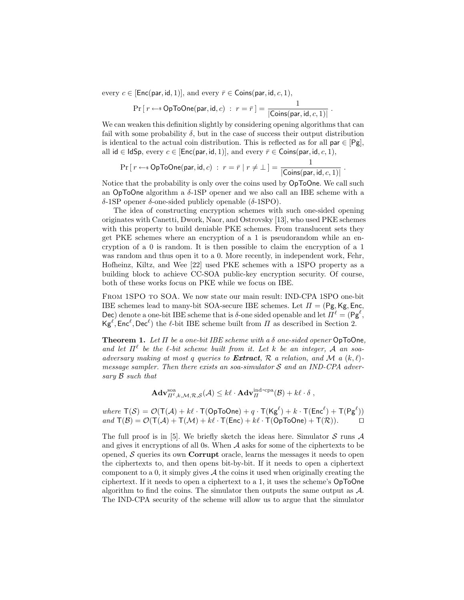every  $c \in [Enc(par, id, 1)]$ , and every  $\overline{r} \in \text{Coins}(par, id, c, 1)$ ,

$$
\Pr\left[\, r \leftarrow \text{sOpToOne}(\textsf{par},\textsf{id},c)\;:\; r=\bar{r}\,\right] = \frac{1}{|\mathsf{Coins}(\textsf{par},\textsf{id},c,1)|} \;.
$$

We can weaken this definition slightly by considering opening algorithms that can fail with some probability  $\delta$ , but in the case of success their output distribution is identical to the actual coin distribution. This is reflected as for all par  $\in [Pg]$ , all id  $\in$  IdSp, every  $c \in$  [Enc(par, id, 1)], and every  $\bar{r} \in$  Coins(par, id, c, 1),

$$
\Pr\left[\, r \leftarrow \text{sOpToOne}(\text{par},\text{id},c)\; : \; r = \bar{r} \mid r \neq \bot\,] = \frac{1}{|\text{Coins}(\text{par},\text{id},c,1)|}
$$

.

Notice that the probability is only over the coins used by OpToOne. We call such an OpToOne algorithm a  $\delta$ -1SP opener and we also call an IBE scheme with a δ-1SP opener δ-one-sided publicly openable (δ-1SPO).

The idea of constructing encryption schemes with such one-sided opening originates with Canetti, Dwork, Naor, and Ostrovsky [13], who used PKE schemes with this property to build deniable PKE schemes. From translucent sets they get PKE schemes where an encryption of a 1 is pseudorandom while an encryption of a 0 is random. It is then possible to claim the encryption of a 1 was random and thus open it to a 0. More recently, in independent work, Fehr, Hofheinz, Kiltz, and Wee [22] used PKE schemes with a 1SPO property as a building block to achieve CC-SOA public-key encryption security. Of course, both of these works focus on PKE while we focus on IBE.

FROM 1SPO TO SOA. We now state our main result: IND-CPA 1SPO one-bit IBE schemes lead to many-bit SOA-secure IBE schemes. Let  $\Pi = (Pg, Kg, Enc,$ Dec) denote a one-bit IBE scheme that is δ-one sided openable and let  $\Pi^{\ell} = (Pg^{\ell},$  $\mathsf{Kg}^{\ell}$ , Enc<sup> $\ell$ </sup>, Dec<sup> $\ell$ </sup>) the  $\ell$ -bit IBE scheme built from  $\Pi$  as described in Section 2.

**Theorem 1.** Let  $\Pi$  be a one-bit IBE scheme with a  $\delta$  one-sided opener OpToOne, and let  $\Pi^{\ell}$  be the  $\ell$ -bit scheme built from it. Let k be an integer, A an soaadversary making at most q queries to **Extract**,  $\mathcal{R}$  a relation, and  $\mathcal{M}$  a  $(k, \ell)$ message sampler. Then there exists an soa-simulator  $S$  and an IND-CPA adversary B such that

$$
\mathbf{Adv}_{\Pi^{\ell},k,\mathcal{M},\mathcal{R},\mathcal{S}}^{\mathrm{soa}}(\mathcal{A}) \leq k\ell \cdot \mathbf{Adv}_{\Pi}^{\mathrm{ind-cpa}}(\mathcal{B}) + k\ell \cdot \delta ,
$$

where  $T(S) = \mathcal{O}(T(\mathcal{A}) + k\ell \cdot T(\mathsf{OpToOne}) + q \cdot T(\mathsf{Kg}^{\ell}) + k \cdot T(\mathsf{Enc}^{\ell}) + T(\mathsf{Pg}^{\ell}))$ and  $T(\mathcal{B}) = \mathcal{O}(T(\mathcal{A}) + T(\mathcal{M}) + k\ell \cdot T(\text{Enc}) + k\ell \cdot T(\text{OpToOne}) + T(\mathcal{R})).$ 

The full proof is in [5]. We briefly sketch the ideas here. Simulator  $S$  runs  $A$ and gives it encryptions of all 0s. When  $A$  asks for some of the ciphertexts to be opened,  $S$  queries its own **Corrupt** oracle, learns the messages it needs to open the ciphertexts to, and then opens bit-by-bit. If it needs to open a ciphertext component to a  $0$ , it simply gives  $A$  the coins it used when originally creating the ciphertext. If it needs to open a ciphertext to a 1, it uses the scheme's OpToOne algorithm to find the coins. The simulator then outputs the same output as  $A$ . The IND-CPA security of the scheme will allow us to argue that the simulator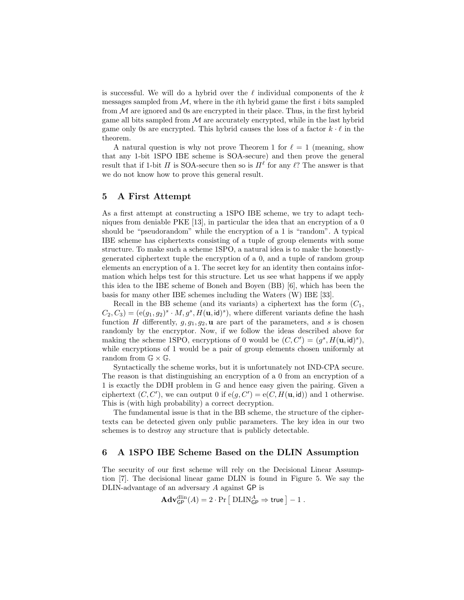is successful. We will do a hybrid over the  $\ell$  individual components of the k messages sampled from  $M$ , where in the *i*th hybrid game the first *i* bits sampled from  $\mathcal M$  are ignored and 0s are encrypted in their place. Thus, in the first hybrid game all bits sampled from  $M$  are accurately encrypted, while in the last hybrid game only 0s are encrypted. This hybrid causes the loss of a factor  $k \cdot \ell$  in the theorem.

A natural question is why not prove Theorem 1 for  $\ell = 1$  (meaning, show that any 1-bit 1SPO IBE scheme is SOA-secure) and then prove the general result that if 1-bit  $\Pi$  is SOA-secure then so is  $\Pi^{\ell}$  for any  $\ell$ ? The answer is that we do not know how to prove this general result.

#### 5 A First Attempt

As a first attempt at constructing a 1SPO IBE scheme, we try to adapt techniques from deniable PKE [13], in particular the idea that an encryption of a 0 should be "pseudorandom" while the encryption of a 1 is "random". A typical IBE scheme has ciphertexts consisting of a tuple of group elements with some structure. To make such a scheme 1SPO, a natural idea is to make the honestlygenerated ciphertext tuple the encryption of a 0, and a tuple of random group elements an encryption of a 1. The secret key for an identity then contains information which helps test for this structure. Let us see what happens if we apply this idea to the IBE scheme of Boneh and Boyen (BB) [6], which has been the basis for many other IBE schemes including the Waters (W) IBE [33].

Recall in the BB scheme (and its variants) a ciphertext has the form  $(C_1,$  $C_2, C_3$  =  $(e(g_1, g_2)^s \cdot M, g^s, H(\mathbf{u}, \mathrm{id})^s)$ , where different variants define the hash function H differently,  $g, g_1, g_2, \mathbf{u}$  are part of the parameters, and s is chosen randomly by the encryptor. Now, if we follow the ideas described above for making the scheme 1SPO, encryptions of 0 would be  $(C, C') = (g^s, H(\mathbf{u}, \mathbf{id})^s)$ , while encryptions of 1 would be a pair of group elements chosen uniformly at random from  $\mathbb{G} \times \mathbb{G}$ .

Syntactically the scheme works, but it is unfortunately not IND-CPA secure. The reason is that distinguishing an encryption of a 0 from an encryption of a 1 is exactly the DDH problem in G and hence easy given the pairing. Given a ciphertext  $(C, C')$ , we can output 0 if  $e(g, C') = e(C, H(\mathbf{u}, \mathrm{id}))$  and 1 otherwise. This is (with high probability) a correct decryption.

The fundamental issue is that in the BB scheme, the structure of the ciphertexts can be detected given only public parameters. The key idea in our two schemes is to destroy any structure that is publicly detectable.

#### 6 A 1SPO IBE Scheme Based on the DLIN Assumption

The security of our first scheme will rely on the Decisional Linear Assumption [7]. The decisional linear game DLIN is found in Figure 5. We say the DLIN-advantage of an adversary A against GP is

 $\mathbf{Adv}_{\mathsf{GP}}^{\dim}(A) = 2 \cdot \Pr\big[\ \mathrm{DLIN}_{\mathsf{GP}}^A \Rightarrow \mathsf{true} \ \big] - 1 \ .$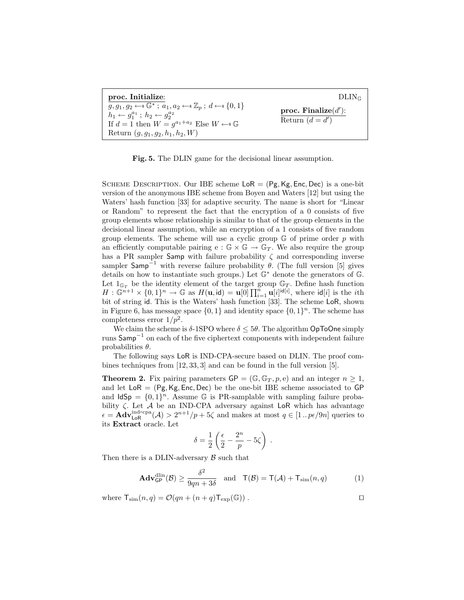| proc. Initialize:                                                                                                                                                                                                                                                                         | $DLIN_{\odot}$                               |
|-------------------------------------------------------------------------------------------------------------------------------------------------------------------------------------------------------------------------------------------------------------------------------------------|----------------------------------------------|
| $g, g_1, g_2 \leftarrow \mathcal{C}^*$ ; $a_1, a_2 \leftarrow \mathcal{Z}_p$ ; $d \leftarrow \mathcal{C}$ {0, 1}<br>$h_1 \leftarrow g_1^{a_1}$ ; $h_2 \leftarrow g_2^{a_2}$<br>If $d = 1$ then $W = q^{a_1 + a_2}$ Else $W \leftarrow \mathcal{G}$<br>Return $(g, g_1, g_2, h_1, h_2, W)$ | proc. Finalize $(d')$ :<br>Return $(d = d')$ |

Fig. 5. The DLIN game for the decisional linear assumption.

SCHEME DESCRIPTION. Our IBE scheme  $LoR = (Pg, Kg, Enc, Dec)$  is a one-bit version of the anonymous IBE scheme from Boyen and Waters [12] but using the Waters' hash function [33] for adaptive security. The name is short for "Linear or Random" to represent the fact that the encryption of a 0 consists of five group elements whose relationship is similar to that of the group elements in the decisional linear assumption, while an encryption of a 1 consists of five random group elements. The scheme will use a cyclic group  $\mathbb G$  of prime order p with an efficiently computable pairing  $e : \mathbb{G} \times \mathbb{G} \to \mathbb{G}_T$ . We also require the group has a PR sampler Samp with failure probability  $\zeta$  and corresponding inverse sampler  $\text{Samp}^{-1}$  with reverse failure probability  $\theta$ . (The full version [5] gives details on how to instantiate such groups.) Let G<sup>∗</sup> denote the generators of G. Let  $1_{\mathbb{G}_T}$  be the identity element of the target group  $\mathbb{G}_T$ . Define hash function  $H: \mathbb{G}^{n+1} \times \{0,1\}^n \to \mathbb{G}$  as  $H(\mathbf{u},\mathrm{id}) = \mathbf{u}[0] \prod_{i=1}^n \mathbf{u}[i]^{|\mathrm{id}[i]}$ , where  $\mathrm{id}[i]$  is the *i*th bit of string id. This is the Waters' hash function [33]. The scheme LoR, shown in Figure 6, has message space  $\{0,1\}$  and identity space  $\{0,1\}$ <sup>n</sup>. The scheme has completeness error  $1/p^2$ .

We claim the scheme is  $\delta$ -1SPO where  $\delta \leq 5\theta$ . The algorithm **OpToOne** simply runs Samp<sup>−</sup><sup>1</sup> on each of the five ciphertext components with independent failure probabilities  $\theta$ .

The following says LoR is IND-CPA-secure based on DLIN. The proof combines techniques from [12, 33, 3] and can be found in the full version [5].

**Theorem 2.** Fix pairing parameters  $GP = (\mathbb{G}, \mathbb{G}_T, p, e)$  and an integer  $n \geq 1$ , and let  $LoR = (Pg, Kg, Enc, Dec)$  be the one-bit IBE scheme associated to GP and  $\mathsf{IdSp} = \{0,1\}^n$ . Assume G is PR-samplable with sampling failure probability  $\zeta$ . Let A be an IND-CPA adversary against LoR which has advantage  $\epsilon = \mathbf{Adv}_{\text{LoR}}^{\text{ind-cpa}}(A) > 2^{n+1}/p + 5\zeta$  and makes at most  $q \in [1..p\epsilon/9n]$  queries to its Extract oracle. Let

$$
\delta = \frac{1}{2} \left( \frac{\epsilon}{2} - \frac{2^n}{p} - 5 \zeta \right) \; .
$$

Then there is a DLIN-adversary  $\beta$  such that

$$
\mathbf{Adv}_{\mathsf{GP}}^{\dim}(\mathcal{B}) \ge \frac{\delta^2}{9qn + 3\delta} \quad \text{and} \quad \mathsf{T}(\mathcal{B}) = \mathsf{T}(\mathcal{A}) + \mathsf{T}_{\text{sim}}(n, q) \tag{1}
$$

where  $\mathsf{T}_{\text{sim}}(n,q) = \mathcal{O}(qn + (n+q)\mathsf{T}_{\text{exp}}(\mathbb{G}))$ .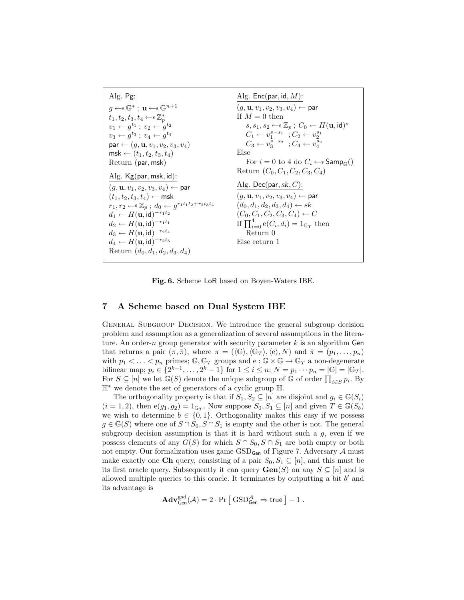

Fig. 6. Scheme LoR based on Boyen-Waters IBE.

#### 7 A Scheme based on Dual System IBE

General Subgroup Decision. We introduce the general subgroup decision problem and assumption as a generalization of several assumptions in the literature. An order-n group generator with security parameter  $k$  is an algorithm Gen that returns a pair  $(\pi, \bar{\pi})$ , where  $\pi = (\langle \mathbb{G} \rangle, \langle \mathbb{G}_T \rangle, \langle e \rangle, N)$  and  $\bar{\pi} = (p_1, \ldots, p_n)$ with  $p_1 < \ldots < p_n$  primes;  $\mathbb{G}, \mathbb{G}_T$  groups and  $e : \mathbb{G} \times \mathbb{G} \to \mathbb{G}_T$  a non-degenerate bilinear map;  $p_i \in \{2^{k-1}, \ldots, 2^k - 1\}$  for  $1 \le i \le n$ ;  $N = p_1 \cdots p_n = |\mathbb{G}| = |\mathbb{G}_T|$ . For  $S \subseteq [n]$  we let  $\mathbb{G}(S)$  denote the unique subgroup of  $\mathbb{G}$  of order  $\prod_{i \in S} p_i$ . By H<sup>∗</sup> we denote the set of generators of a cyclic group H.

The orthogonality property is that if  $S_1, S_2 \subseteq [n]$  are disjoint and  $g_i \in \mathbb{G}(S_i)$  $(i = 1, 2)$ , then  $e(g_1, g_2) = 1_{\mathbb{G}_T}$ . Now suppose  $S_0, S_1 \subseteq [n]$  and given  $T \in \mathbb{G}(S_b)$ we wish to determine  $b \in \{0, 1\}$ . Orthogonality makes this easy if we possess  $g \in \mathbb{G}(S)$  where one of  $S \cap S_0$ ,  $S \cap S_1$  is empty and the other is not. The general subgroup decision assumption is that it is hard without such a  $g$ , even if we possess elements of any  $G(S)$  for which  $S \cap S_0$ ,  $S \cap S_1$  are both empty or both not empty. Our formalization uses game  $GSD_{Gen}$  of Figure 7. Adversary A must make exactly one Ch query, consisting of a pair  $S_0, S_1 \subseteq [n]$ , and this must be its first oracle query. Subsequently it can query  $\mathbf{Gen}(S)$  on any  $S \subseteq [n]$  and is allowed multiple queries to this oracle. It terminates by outputting a bit  $b'$  and its advantage is

$$
\mathbf{Adv}_{\mathsf{Gen}}^{\mathrm{gsd}}(\mathcal{A}) = 2 \cdot \Pr \big[ \: \mathrm{GSD}_{\mathsf{Gen}}^{\mathcal{A}} \Rightarrow \mathsf{true} \: \big] - 1 \; .
$$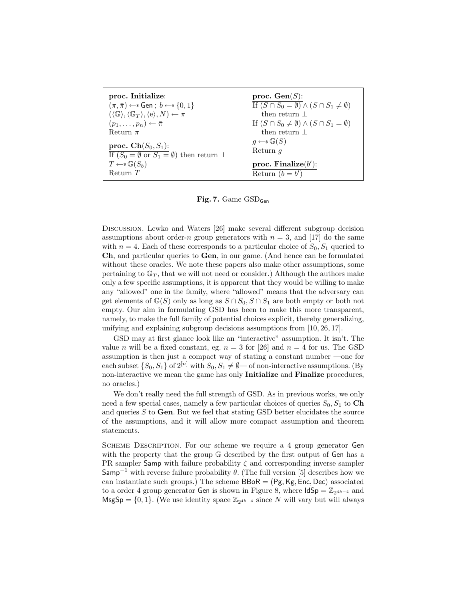| proc. Initialize:                                                                                 | proc. $Gen(S)$ :                                                 |
|---------------------------------------------------------------------------------------------------|------------------------------------------------------------------|
| $(\pi, \bar{\pi}) \leftarrow \mathsf{S} \mathsf{Gen}$ ; $b \leftarrow \mathsf{S} \{0, 1\}$        | If $(S \cap S_0 = \emptyset) \wedge (S \cap S_1 \neq \emptyset)$ |
| $(\langle \mathbb{G} \rangle, \langle \mathbb{G}_T \rangle, \langle e \rangle, N) \leftarrow \pi$ | then return $\perp$                                              |
| $(p_1,\ldots,p_n)\leftarrow \bar{\pi}$                                                            | If $(S \cap S_0 \neq \emptyset) \wedge (S \cap S_1 = \emptyset)$ |
| Return $\pi$                                                                                      | then return $\perp$                                              |
| proc. $\text{Ch}(S_0, S_1)$ :                                                                     | $q \leftarrow \mathcal{G}(S)$                                    |
| If $(S_0 = \emptyset \text{ or } S_1 = \emptyset)$ then return $\perp$                            | Return $q$                                                       |
| $T \leftarrow \mathcal{S}(S_b)$                                                                   | proc. Finalize $(b')$ :                                          |
| Return T                                                                                          | Return $(b = b')$                                                |

Fig. 7. Game  $GSD<sub>Gen</sub>$ 

Discussion. Lewko and Waters [26] make several different subgroup decision assumptions about order-n group generators with  $n = 3$ , and [17] do the same with  $n = 4$ . Each of these corresponds to a particular choice of  $S_0, S_1$  queried to Ch, and particular queries to Gen, in our game. (And hence can be formulated without these oracles. We note these papers also make other assumptions, some pertaining to  $\mathbb{G}_T$ , that we will not need or consider.) Although the authors make only a few specific assumptions, it is apparent that they would be willing to make any "allowed" one in the family, where "allowed" means that the adversary can get elements of  $\mathbb{G}(S)$  only as long as  $S \cap S_0$ ,  $S \cap S_1$  are both empty or both not empty. Our aim in formulating GSD has been to make this more transparent, namely, to make the full family of potential choices explicit, thereby generalizing, unifying and explaining subgroup decisions assumptions from [10, 26, 17].

GSD may at first glance look like an "interactive" assumption. It isn't. The value n will be a fixed constant, eg.  $n = 3$  for [26] and  $n = 4$  for us. The GSD assumption is then just a compact way of stating a constant number —one for each subset  $\{S_0, S_1\}$  of  $2^{[n]}$  with  $S_0, S_1 \neq \emptyset$ — of non-interactive assumptions. (By non-interactive we mean the game has only Initialize and Finalize procedures, no oracles.)

We don't really need the full strength of GSD. As in previous works, we only need a few special cases, namely a few particular choices of queries  $S_0$ ,  $S_1$  to **Ch** and queries  $S$  to Gen. But we feel that stating GSD better elucidates the source of the assumptions, and it will allow more compact assumption and theorem statements.

SCHEME DESCRIPTION. For our scheme we require a 4 group generator Gen with the property that the group  $\mathbb G$  described by the first output of Gen has a PR sampler Samp with failure probability  $\zeta$  and corresponding inverse sampler Samp<sup>-1</sup> with reverse failure probability  $\theta$ . (The full version [5] describes how we can instantiate such groups.) The scheme  $BBoR = (Pg, Kg, Enc, Dec)$  associated to a order 4 group generator Gen is shown in Figure 8, where  $\text{IdSp} = \mathbb{Z}_{2^{4k-4}}$  and  $\mathsf{MsgSp} = \{0, 1\}$ . (We use identity space  $\mathbb{Z}_{2^{4k-4}}$  since N will vary but will always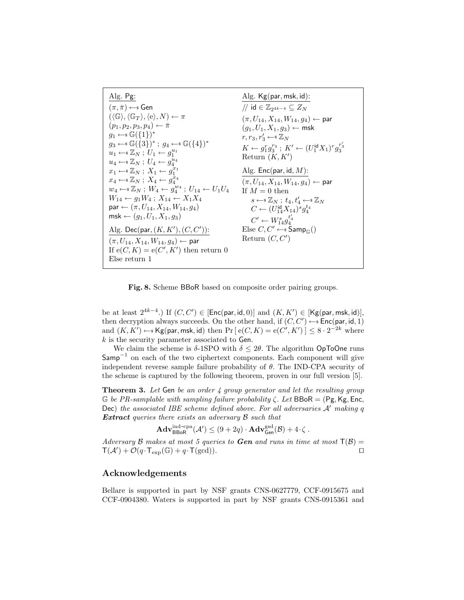

Fig. 8. Scheme BBoR based on composite order pairing groups.

be at least  $2^{4k-4}$ .) If  $(C, C') \in [\text{Enc}(\text{par}, \text{id}, 0)]$  and  $(K, K') \in [\text{Kg}(\text{par}, \text{msk}, \text{id})],$ then decryption always succeeds. On the other hand, if  $(C, C') \leftarrow s \text{Enc}(\text{par}, \text{id}, 1)$ and  $(K, K') \leftarrow$  Kg(par, msk, id) then Pr  $[ e(C, K) = e(C', K') ] \leq 8 \cdot 2^{-2k}$  where  $k$  is the security parameter associated to Gen.

We claim the scheme is  $\delta$ -1SPO with  $\delta \leq 2\theta$ . The algorithm **OpToOne** runs  $\textsf{Samp}^{-1}$  on each of the two ciphertext components. Each component will give independent reverse sample failure probability of  $\theta$ . The IND-CPA security of the scheme is captured by the following theorem, proven in our full version [5].

**Theorem 3.** Let Gen be an order  $\frac{1}{4}$  group generator and let the resulting group G be PR-samplable with sampling failure probability  $\zeta$ . Let BBoR = (Pg, Kg, Enc, Dec) the associated IBE scheme defined above. For all adversaries  $A'$  making  $q$ **Extract** queries there exists an adversary  $\beta$  such that

$$
\mathbf{Adv}_{\mathsf{BBoR}}^{\mathrm{ind-cpa}}(\mathcal{A}') \leq (9+2q) \cdot \mathbf{Adv}_{\mathsf{Gen}}^{\mathrm{gsd}}(\mathcal{B}) + 4 \cdot \zeta.
$$

Adversary B makes at most 5 queries to Gen and runs in time at most  $T(\mathcal{B}) =$  $\mathsf{T}(\mathcal{A}') + \mathcal{O}(q \cdot \mathsf{T}_{\rm exp}(\mathbb{G}) + q \cdot \mathsf{T}(\gcd)).$ 

## Acknowledgements

Bellare is supported in part by NSF grants CNS-0627779, CCF-0915675 and CCF-0904380. Waters is supported in part by NSF grants CNS-0915361 and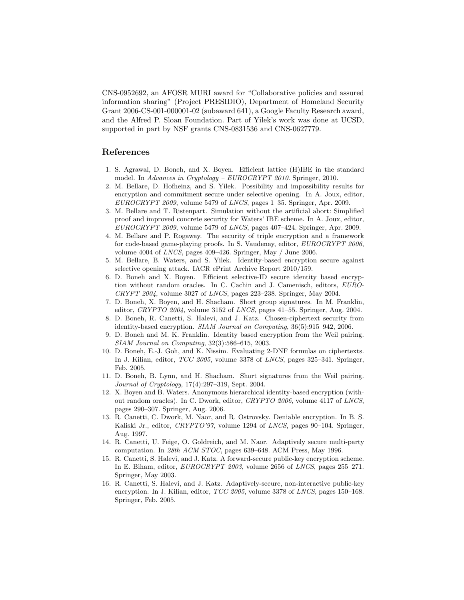CNS-0952692, an AFOSR MURI award for "Collaborative policies and assured information sharing" (Project PRESIDIO), Department of Homeland Security Grant 2006-CS-001-000001-02 (subaward 641), a Google Faculty Research award, and the Alfred P. Sloan Foundation. Part of Yilek's work was done at UCSD, supported in part by NSF grants CNS-0831536 and CNS-0627779.

#### References

- 1. S. Agrawal, D. Boneh, and X. Boyen. Efficient lattice (H)IBE in the standard model. In Advances in Cryptology – EUROCRYPT 2010. Springer, 2010.
- 2. M. Bellare, D. Hofheinz, and S. Yilek. Possibility and impossibility results for encryption and commitment secure under selective opening. In A. Joux, editor, EUROCRYPT 2009, volume 5479 of LNCS, pages 1–35. Springer, Apr. 2009.
- 3. M. Bellare and T. Ristenpart. Simulation without the artificial abort: Simplified proof and improved concrete security for Waters' IBE scheme. In A. Joux, editor, EUROCRYPT 2009, volume 5479 of LNCS, pages 407–424. Springer, Apr. 2009.
- 4. M. Bellare and P. Rogaway. The security of triple encryption and a framework for code-based game-playing proofs. In S. Vaudenay, editor, EUROCRYPT 2006, volume 4004 of LNCS, pages 409–426. Springer, May / June 2006.
- 5. M. Bellare, B. Waters, and S. Yilek. Identity-based encryption secure against selective opening attack. IACR ePrint Archive Report 2010/159.
- 6. D. Boneh and X. Boyen. Efficient selective-ID secure identity based encryption without random oracles. In C. Cachin and J. Camenisch, editors, EURO- $CRYPT 2004$ , volume 3027 of *LNCS*, pages 223–238. Springer, May 2004.
- 7. D. Boneh, X. Boyen, and H. Shacham. Short group signatures. In M. Franklin, editor,  $CRYPTO 2004$ , volume 3152 of  $LNCS$ , pages 41–55. Springer, Aug. 2004.
- 8. D. Boneh, R. Canetti, S. Halevi, and J. Katz. Chosen-ciphertext security from identity-based encryption. SIAM Journal on Computing, 36(5):915–942, 2006.
- 9. D. Boneh and M. K. Franklin. Identity based encryption from the Weil pairing. SIAM Journal on Computing, 32(3):586–615, 2003.
- 10. D. Boneh, E.-J. Goh, and K. Nissim. Evaluating 2-DNF formulas on ciphertexts. In J. Kilian, editor, TCC 2005, volume 3378 of LNCS, pages 325–341. Springer, Feb. 2005.
- 11. D. Boneh, B. Lynn, and H. Shacham. Short signatures from the Weil pairing. Journal of Cryptology, 17(4):297–319, Sept. 2004.
- 12. X. Boyen and B. Waters. Anonymous hierarchical identity-based encryption (without random oracles). In C. Dwork, editor, CRYPTO 2006, volume 4117 of LNCS, pages 290–307. Springer, Aug. 2006.
- 13. R. Canetti, C. Dwork, M. Naor, and R. Ostrovsky. Deniable encryption. In B. S. Kaliski Jr., editor, CRYPTO'97, volume 1294 of LNCS, pages 90–104. Springer, Aug. 1997.
- 14. R. Canetti, U. Feige, O. Goldreich, and M. Naor. Adaptively secure multi-party computation. In 28th ACM STOC, pages 639–648. ACM Press, May 1996.
- 15. R. Canetti, S. Halevi, and J. Katz. A forward-secure public-key encryption scheme. In E. Biham, editor, EUROCRYPT 2003, volume 2656 of LNCS, pages 255–271. Springer, May 2003.
- 16. R. Canetti, S. Halevi, and J. Katz. Adaptively-secure, non-interactive public-key encryption. In J. Kilian, editor, TCC 2005, volume 3378 of LNCS, pages 150–168. Springer, Feb. 2005.